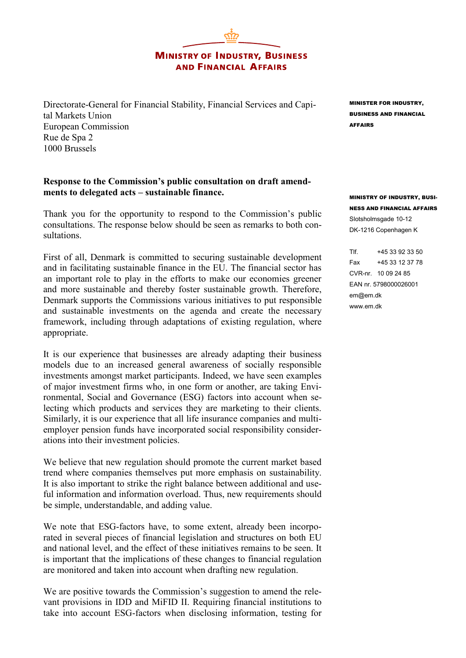**MINISTRY OF INDUSTRY, BUSINESS AND FINANCIAL AFFAIRS** 

Directorate-General for Financial Stability, Financial Services and Capital Markets Union European Commission Rue de Spa 2 1000 Brussels

## **Response to the Commission's public consultation on draft amendments to delegated acts – sustainable finance.**

Thank you for the opportunity to respond to the Commission's public consultations. The response below should be seen as remarks to both consultations.

First of all, Denmark is committed to securing sustainable development and in facilitating sustainable finance in the EU. The financial sector has an important role to play in the efforts to make our economies greener and more sustainable and thereby foster sustainable growth. Therefore, Denmark supports the Commissions various initiatives to put responsible and sustainable investments on the agenda and create the necessary framework, including through adaptations of existing regulation, where appropriate.

It is our experience that businesses are already adapting their business models due to an increased general awareness of socially responsible investments amongst market participants. Indeed, we have seen examples of major investment firms who, in one form or another, are taking Environmental, Social and Governance (ESG) factors into account when selecting which products and services they are marketing to their clients. Similarly, it is our experience that all life insurance companies and multiemployer pension funds have incorporated social responsibility considerations into their investment policies.

We believe that new regulation should promote the current market based trend where companies themselves put more emphasis on sustainability. It is also important to strike the right balance between additional and useful information and information overload. Thus, new requirements should be simple, understandable, and adding value.

We note that ESG-factors have, to some extent, already been incorporated in several pieces of financial legislation and structures on both EU and national level, and the effect of these initiatives remains to be seen. It is important that the implications of these changes to financial regulation are monitored and taken into account when drafting new regulation.

We are positive towards the Commission's suggestion to amend the relevant provisions in IDD and MiFID II. Requiring financial institutions to take into account ESG-factors when disclosing information, testing for MINISTER FOR INDUSTRY, BUSINESS AND FINANCIAL AFFAIRS

MINISTRY OF INDUSTRY, BUSI-NESS AND FINANCIAL AFFAIRS Slotsholmsgade 10-12 DK-1216 Copenhagen K

Tlf. +45 33 92 33 50 Fax +45 33 12 37 78 CVR-nr. 10 09 24 85 EAN nr. 5798000026001 em@em.dk www.em.dk